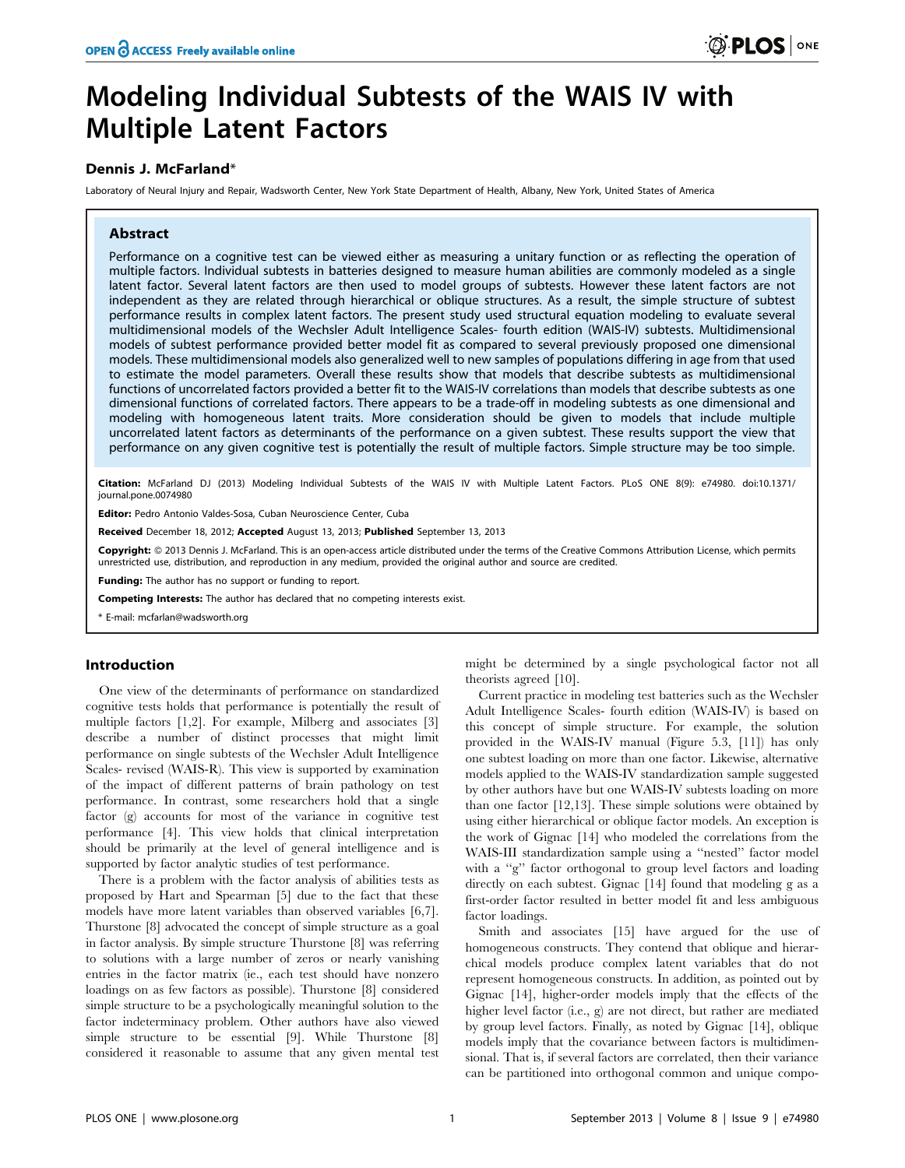# Modeling Individual Subtests of the WAIS IV with Multiple Latent Factors

## Dennis J. McFarland\*

Laboratory of Neural Injury and Repair, Wadsworth Center, New York State Department of Health, Albany, New York, United States of America

## Abstract

Performance on a cognitive test can be viewed either as measuring a unitary function or as reflecting the operation of multiple factors. Individual subtests in batteries designed to measure human abilities are commonly modeled as a single latent factor. Several latent factors are then used to model groups of subtests. However these latent factors are not independent as they are related through hierarchical or oblique structures. As a result, the simple structure of subtest performance results in complex latent factors. The present study used structural equation modeling to evaluate several multidimensional models of the Wechsler Adult Intelligence Scales- fourth edition (WAIS-IV) subtests. Multidimensional models of subtest performance provided better model fit as compared to several previously proposed one dimensional models. These multidimensional models also generalized well to new samples of populations differing in age from that used to estimate the model parameters. Overall these results show that models that describe subtests as multidimensional functions of uncorrelated factors provided a better fit to the WAIS-IV correlations than models that describe subtests as one dimensional functions of correlated factors. There appears to be a trade-off in modeling subtests as one dimensional and modeling with homogeneous latent traits. More consideration should be given to models that include multiple uncorrelated latent factors as determinants of the performance on a given subtest. These results support the view that performance on any given cognitive test is potentially the result of multiple factors. Simple structure may be too simple.

Citation: McFarland DJ (2013) Modeling Individual Subtests of the WAIS IV with Multiple Latent Factors. PLoS ONE 8(9): e74980. doi:10.1371/ journal.pone.0074980

Editor: Pedro Antonio Valdes-Sosa, Cuban Neuroscience Center, Cuba

Received December 18, 2012; Accepted August 13, 2013; Published September 13, 2013

Copyright: © 2013 Dennis J. McFarland. This is an open-access article distributed under the terms of the Creative Commons Attribution License, which permits unrestricted use, distribution, and reproduction in any medium, provided the original author and source are credited.

Funding: The author has no support or funding to report.

Competing Interests: The author has declared that no competing interests exist.

\* E-mail: mcfarlan@wadsworth.org

## Introduction

One view of the determinants of performance on standardized cognitive tests holds that performance is potentially the result of multiple factors [1,2]. For example, Milberg and associates [3] describe a number of distinct processes that might limit performance on single subtests of the Wechsler Adult Intelligence Scales- revised (WAIS-R). This view is supported by examination of the impact of different patterns of brain pathology on test performance. In contrast, some researchers hold that a single factor (g) accounts for most of the variance in cognitive test performance [4]. This view holds that clinical interpretation should be primarily at the level of general intelligence and is supported by factor analytic studies of test performance.

There is a problem with the factor analysis of abilities tests as proposed by Hart and Spearman [5] due to the fact that these models have more latent variables than observed variables [6,7]. Thurstone [8] advocated the concept of simple structure as a goal in factor analysis. By simple structure Thurstone [8] was referring to solutions with a large number of zeros or nearly vanishing entries in the factor matrix (ie., each test should have nonzero loadings on as few factors as possible). Thurstone [8] considered simple structure to be a psychologically meaningful solution to the factor indeterminacy problem. Other authors have also viewed simple structure to be essential [9]. While Thurstone [8] considered it reasonable to assume that any given mental test

might be determined by a single psychological factor not all theorists agreed [10].

Current practice in modeling test batteries such as the Wechsler Adult Intelligence Scales- fourth edition (WAIS-IV) is based on this concept of simple structure. For example, the solution provided in the WAIS-IV manual (Figure 5.3, [11]) has only one subtest loading on more than one factor. Likewise, alternative models applied to the WAIS-IV standardization sample suggested by other authors have but one WAIS-IV subtests loading on more than one factor [12,13]. These simple solutions were obtained by using either hierarchical or oblique factor models. An exception is the work of Gignac [14] who modeled the correlations from the WAIS-III standardization sample using a ''nested'' factor model with a "g" factor orthogonal to group level factors and loading directly on each subtest. Gignac [14] found that modeling g as a first-order factor resulted in better model fit and less ambiguous factor loadings.

Smith and associates [15] have argued for the use of homogeneous constructs. They contend that oblique and hierarchical models produce complex latent variables that do not represent homogeneous constructs. In addition, as pointed out by Gignac [14], higher-order models imply that the effects of the higher level factor (i.e., g) are not direct, but rather are mediated by group level factors. Finally, as noted by Gignac [14], oblique models imply that the covariance between factors is multidimensional. That is, if several factors are correlated, then their variance can be partitioned into orthogonal common and unique compo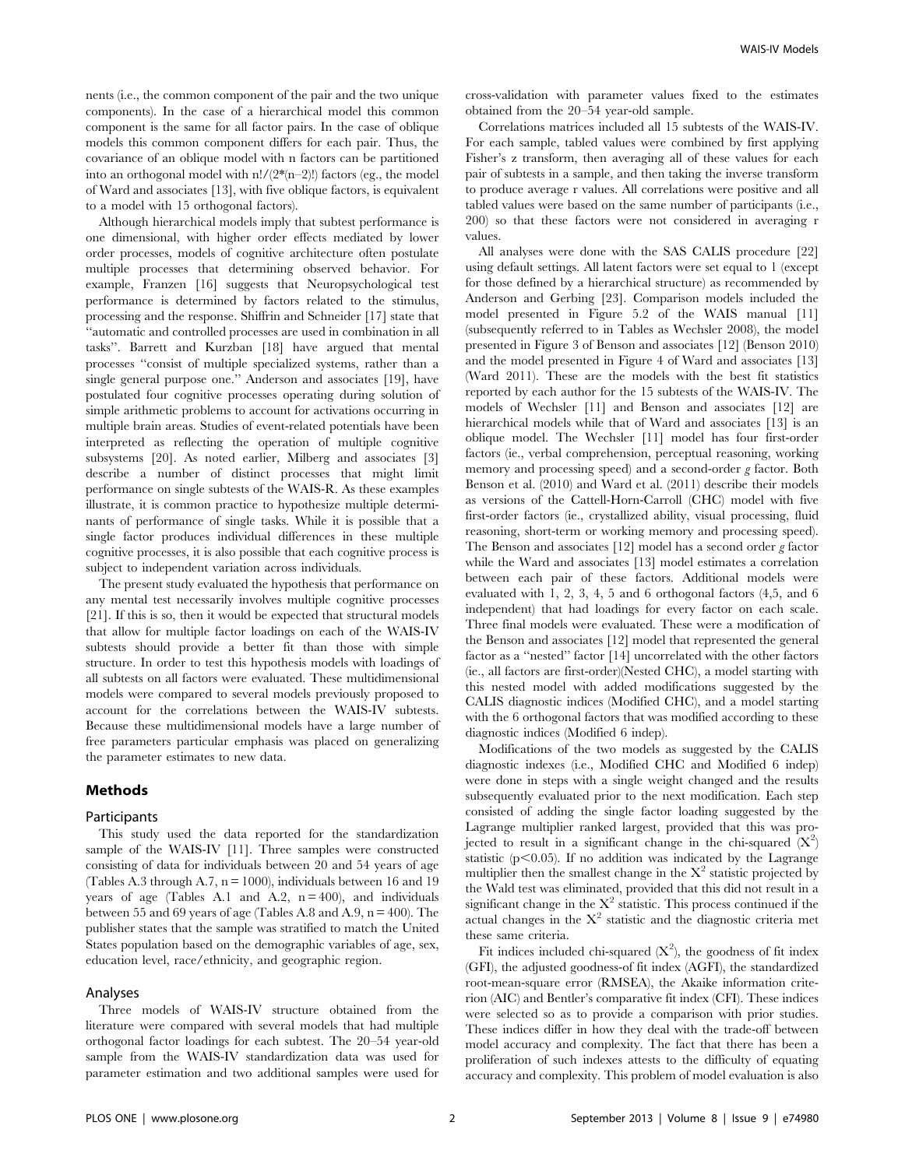nents (i.e., the common component of the pair and the two unique components). In the case of a hierarchical model this common component is the same for all factor pairs. In the case of oblique models this common component differs for each pair. Thus, the covariance of an oblique model with n factors can be partitioned into an orthogonal model with  $n!/(2*(n-2)!)$  factors (eg., the model of Ward and associates [13], with five oblique factors, is equivalent to a model with 15 orthogonal factors).

Although hierarchical models imply that subtest performance is one dimensional, with higher order effects mediated by lower order processes, models of cognitive architecture often postulate multiple processes that determining observed behavior. For example, Franzen [16] suggests that Neuropsychological test performance is determined by factors related to the stimulus, processing and the response. Shiffrin and Schneider [17] state that ''automatic and controlled processes are used in combination in all tasks''. Barrett and Kurzban [18] have argued that mental processes ''consist of multiple specialized systems, rather than a single general purpose one.'' Anderson and associates [19], have postulated four cognitive processes operating during solution of simple arithmetic problems to account for activations occurring in multiple brain areas. Studies of event-related potentials have been interpreted as reflecting the operation of multiple cognitive subsystems [20]. As noted earlier, Milberg and associates [3] describe a number of distinct processes that might limit performance on single subtests of the WAIS-R. As these examples illustrate, it is common practice to hypothesize multiple determinants of performance of single tasks. While it is possible that a single factor produces individual differences in these multiple cognitive processes, it is also possible that each cognitive process is subject to independent variation across individuals.

The present study evaluated the hypothesis that performance on any mental test necessarily involves multiple cognitive processes [21]. If this is so, then it would be expected that structural models that allow for multiple factor loadings on each of the WAIS-IV subtests should provide a better fit than those with simple structure. In order to test this hypothesis models with loadings of all subtests on all factors were evaluated. These multidimensional models were compared to several models previously proposed to account for the correlations between the WAIS-IV subtests. Because these multidimensional models have a large number of free parameters particular emphasis was placed on generalizing the parameter estimates to new data.

## Methods

#### **Participants**

This study used the data reported for the standardization sample of the WAIS-IV [11]. Three samples were constructed consisting of data for individuals between 20 and 54 years of age (Tables A.3 through A.7,  $n = 1000$ ), individuals between 16 and 19 years of age (Tables A.1 and A.2,  $n = 400$ ), and individuals between 55 and 69 years of age (Tables A.8 and A.9,  $n = 400$ ). The publisher states that the sample was stratified to match the United States population based on the demographic variables of age, sex, education level, race/ethnicity, and geographic region.

#### Analyses

Three models of WAIS-IV structure obtained from the literature were compared with several models that had multiple orthogonal factor loadings for each subtest. The 20–54 year-old sample from the WAIS-IV standardization data was used for parameter estimation and two additional samples were used for

cross-validation with parameter values fixed to the estimates obtained from the 20–54 year-old sample.

Correlations matrices included all 15 subtests of the WAIS-IV. For each sample, tabled values were combined by first applying Fisher's z transform, then averaging all of these values for each pair of subtests in a sample, and then taking the inverse transform to produce average r values. All correlations were positive and all tabled values were based on the same number of participants (i.e., 200) so that these factors were not considered in averaging r values.

All analyses were done with the SAS CALIS procedure [22] using default settings. All latent factors were set equal to 1 (except for those defined by a hierarchical structure) as recommended by Anderson and Gerbing [23]. Comparison models included the model presented in Figure 5.2 of the WAIS manual [11] (subsequently referred to in Tables as Wechsler 2008), the model presented in Figure 3 of Benson and associates [12] (Benson 2010) and the model presented in Figure 4 of Ward and associates [13] (Ward 2011). These are the models with the best fit statistics reported by each author for the 15 subtests of the WAIS-IV. The models of Wechsler [11] and Benson and associates [12] are hierarchical models while that of Ward and associates [13] is an oblique model. The Wechsler [11] model has four first-order factors (ie., verbal comprehension, perceptual reasoning, working memory and processing speed) and a second-order  $g$  factor. Both Benson et al. (2010) and Ward et al. (2011) describe their models as versions of the Cattell-Horn-Carroll (CHC) model with five first-order factors (ie., crystallized ability, visual processing, fluid reasoning, short-term or working memory and processing speed). The Benson and associates [12] model has a second order g factor while the Ward and associates [13] model estimates a correlation between each pair of these factors. Additional models were evaluated with 1, 2, 3, 4, 5 and 6 orthogonal factors (4,5, and 6 independent) that had loadings for every factor on each scale. Three final models were evaluated. These were a modification of the Benson and associates [12] model that represented the general factor as a ''nested'' factor [14] uncorrelated with the other factors (ie., all factors are first-order)(Nested CHC), a model starting with this nested model with added modifications suggested by the CALIS diagnostic indices (Modified CHC), and a model starting with the 6 orthogonal factors that was modified according to these diagnostic indices (Modified 6 indep).

Modifications of the two models as suggested by the CALIS diagnostic indexes (i.e., Modified CHC and Modified 6 indep) were done in steps with a single weight changed and the results subsequently evaluated prior to the next modification. Each step consisted of adding the single factor loading suggested by the Lagrange multiplier ranked largest, provided that this was projected to result in a significant change in the chi-squared  $(X^2)$ statistic ( $p<0.05$ ). If no addition was indicated by the Lagrange multiplier then the smallest change in the  $X^2$  statistic projected by the Wald test was eliminated, provided that this did not result in a significant change in the  $X^2$  statistic. This process continued if the actual changes in the  $X^2$  statistic and the diagnostic criteria met these same criteria.

Fit indices included chi-squared  $(X^2)$ , the goodness of fit index (GFI), the adjusted goodness-of fit index (AGFI), the standardized root-mean-square error (RMSEA), the Akaike information criterion (AIC) and Bentler's comparative fit index (CFI). These indices were selected so as to provide a comparison with prior studies. These indices differ in how they deal with the trade-off between model accuracy and complexity. The fact that there has been a proliferation of such indexes attests to the difficulty of equating accuracy and complexity. This problem of model evaluation is also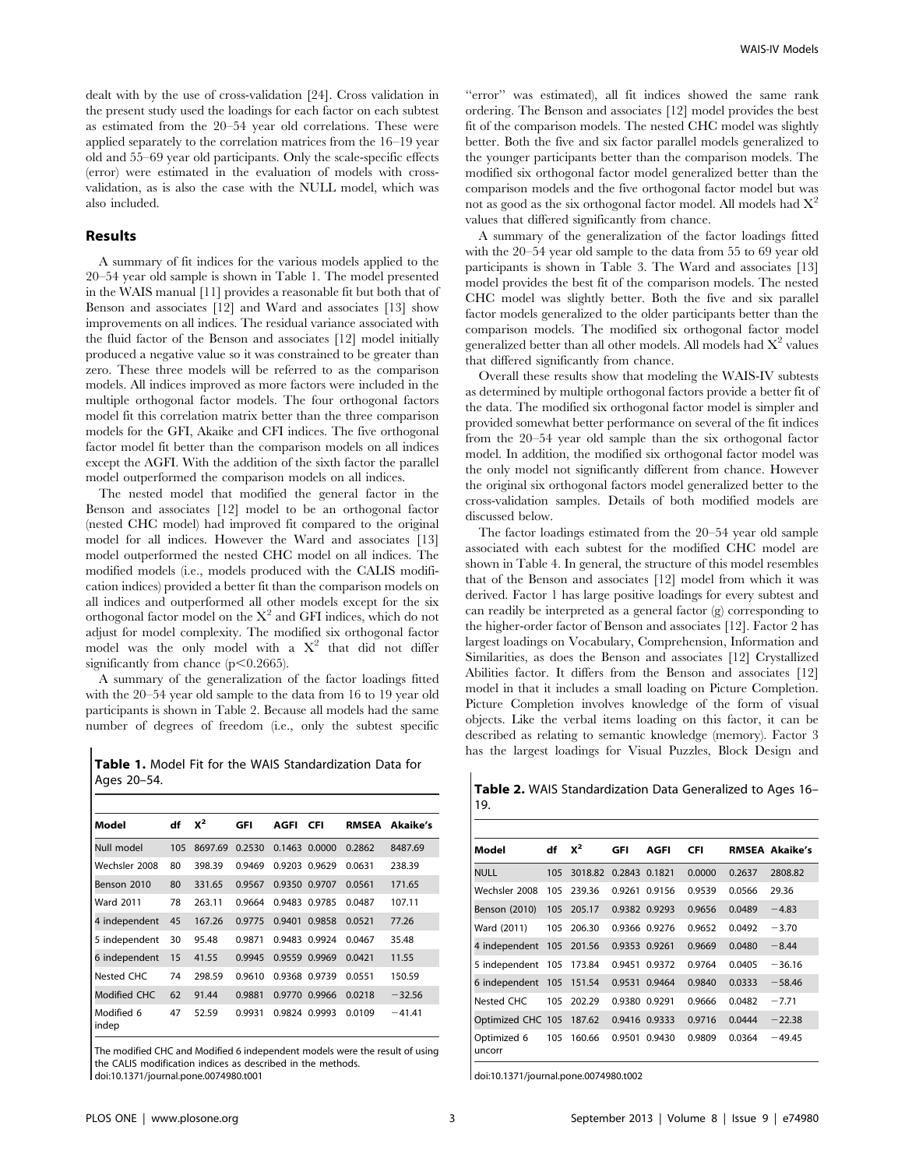dealt with by the use of cross-validation [24]. Cross validation in the present study used the loadings for each factor on each subtest as estimated from the 20–54 year old correlations. These were applied separately to the correlation matrices from the 16–19 year old and 55–69 year old participants. Only the scale-specific effects (error) were estimated in the evaluation of models with crossvalidation, as is also the case with the NULL model, which was also included.

#### Results

A summary of fit indices for the various models applied to the 20–54 year old sample is shown in Table 1. The model presented in the WAIS manual [11] provides a reasonable fit but both that of Benson and associates [12] and Ward and associates [13] show improvements on all indices. The residual variance associated with the fluid factor of the Benson and associates [12] model initially produced a negative value so it was constrained to be greater than zero. These three models will be referred to as the comparison models. All indices improved as more factors were included in the multiple orthogonal factor models. The four orthogonal factors model fit this correlation matrix better than the three comparison models for the GFI, Akaike and CFI indices. The five orthogonal factor model fit better than the comparison models on all indices except the AGFI. With the addition of the sixth factor the parallel model outperformed the comparison models on all indices.

The nested model that modified the general factor in the Benson and associates [12] model to be an orthogonal factor (nested CHC model) had improved fit compared to the original model for all indices. However the Ward and associates [13] model outperformed the nested CHC model on all indices. The modified models (i.e., models produced with the CALIS modification indices) provided a better fit than the comparison models on all indices and outperformed all other models except for the six orthogonal factor model on the  $X^2$  and GFI indices, which do not adjust for model complexity. The modified six orthogonal factor model was the only model with a  $X^2$  that did not differ significantly from chance  $(p<0.2665)$ .

A summary of the generalization of the factor loadings fitted with the 20–54 year old sample to the data from 16 to 19 year old participants is shown in Table 2. Because all models had the same number of degrees of freedom (i.e., only the subtest specific

Table 1. Model Fit for the WAIS Standardization Data for Ages 20–54.

| Model               | df  | $x^2$   | GFI    | AGFI   | <b>CFI</b>    | <b>RMSEA</b> | Akaike's |
|---------------------|-----|---------|--------|--------|---------------|--------------|----------|
| Null model          | 105 | 8697.69 | 0.2530 |        | 0.1463 0.0000 | 0.2862       | 8487.69  |
| Wechsler 2008       | 80  | 398.39  | 0.9469 | 0.9203 | 0.9629        | 0.0631       | 238.39   |
| Benson 2010         | 80  | 331.65  | 0.9567 |        | 0.9350 0.9707 | 0.0561       | 171.65   |
| <b>Ward 2011</b>    | 78  | 263.11  | 0.9664 | 0.9483 | 0.9785        | 0.0487       | 107.11   |
| 4 independent       | 45  | 167.26  | 0.9775 | 0.9401 | 0.9858        | 0.0521       | 77.26    |
| 5 independent       | 30  | 95.48   | 0.9871 | 0.9483 | 0.9924        | 0.0467       | 35.48    |
| 6 independent       | 15  | 41.55   | 0.9945 |        | 0.9559 0.9969 | 0.0421       | 11.55    |
| Nested CHC          | 74  | 298.59  | 0.9610 |        | 0.9368 0.9739 | 0.0551       | 150.59   |
| Modified CHC        | 62  | 91.44   | 0.9881 | 0.9770 | 0.9966        | 0.0218       | $-32.56$ |
| Modified 6<br>indep | 47  | 52.59   | 0.9931 | 0.9824 | 0.9993        | 0.0109       | $-41.41$ |

The modified CHC and Modified 6 independent models were the result of using the CALIS modification indices as described in the methods. doi:10.1371/journal.pone.0074980.t001

"error" was estimated), all fit indices showed the same rank ordering. The Benson and associates [12] model provides the best fit of the comparison models. The nested CHC model was slightly better. Both the five and six factor parallel models generalized to the younger participants better than the comparison models. The modified six orthogonal factor model generalized better than the comparison models and the five orthogonal factor model but was not as good as the six orthogonal factor model. All models had  $X^2$ values that differed significantly from chance.

A summary of the generalization of the factor loadings fitted with the 20–54 year old sample to the data from 55 to 69 year old participants is shown in Table 3. The Ward and associates [13] model provides the best fit of the comparison models. The nested CHC model was slightly better. Both the five and six parallel factor models generalized to the older participants better than the comparison models. The modified six orthogonal factor model generalized better than all other models. All models had  $X^2$  values that differed significantly from chance.

Overall these results show that modeling the WAIS-IV subtests as determined by multiple orthogonal factors provide a better fit of the data. The modified six orthogonal factor model is simpler and provided somewhat better performance on several of the fit indices from the 20–54 year old sample than the six orthogonal factor model. In addition, the modified six orthogonal factor model was the only model not significantly different from chance. However the original six orthogonal factors model generalized better to the cross-validation samples. Details of both modified models are discussed below.

The factor loadings estimated from the 20–54 year old sample associated with each subtest for the modified CHC model are shown in Table 4. In general, the structure of this model resembles that of the Benson and associates [12] model from which it was derived. Factor 1 has large positive loadings for every subtest and can readily be interpreted as a general factor (g) corresponding to the higher-order factor of Benson and associates [12]. Factor 2 has largest loadings on Vocabulary, Comprehension, Information and Similarities, as does the Benson and associates [12] Crystallized Abilities factor. It differs from the Benson and associates [12] model in that it includes a small loading on Picture Completion. Picture Completion involves knowledge of the form of visual objects. Like the verbal items loading on this factor, it can be described as relating to semantic knowledge (memory). Factor 3 has the largest loadings for Visual Puzzles, Block Design and

Table 2. WAIS Standardization Data Generalized to Ages 16– 19.

| Model                 | df  | $x^2$   | GFI           | AGFI          | CFI    |        | <b>RMSEA Akaike's</b> |
|-----------------------|-----|---------|---------------|---------------|--------|--------|-----------------------|
| <b>NULL</b>           | 105 | 3018.82 | 0.2843 0.1821 |               | 0.0000 | 0.2637 | 2808.82               |
| Wechsler 2008         | 105 | 239.36  |               | 0.9261 0.9156 | 0.9539 | 0.0566 | 29.36                 |
| Benson (2010)         | 105 | 205.17  |               | 0.9382 0.9293 | 0.9656 | 0.0489 | $-4.83$               |
| Ward (2011)           | 105 | 206.30  |               | 0.9366 0.9276 | 0.9652 | 0.0492 | $-3.70$               |
| 4 independent 105     |     | 201.56  | 0.9353 0.9261 |               | 0.9669 | 0.0480 | $-8.44$               |
| 5 independent 105     |     | 173.84  | 0.9451        | 0.9372        | 0.9764 | 0.0405 | $-36.16$              |
| 6 independent 105     |     | 151.54  | 0.9531        | 0.9464        | 0.9840 | 0.0333 | $-58.46$              |
| Nested CHC            | 105 | 202.29  | 0.9380        | 0.9291        | 0.9666 | 0.0482 | $-7.71$               |
| Optimized CHC 105     |     | 187.62  |               | 0.9416 0.9333 | 0.9716 | 0.0444 | $-22.38$              |
| Optimized 6<br>uncorr | 105 | 160.66  | 0.9501        | 0.9430        | 0.9809 | 0.0364 | $-49.45$              |

doi:10.1371/journal.pone.0074980.t002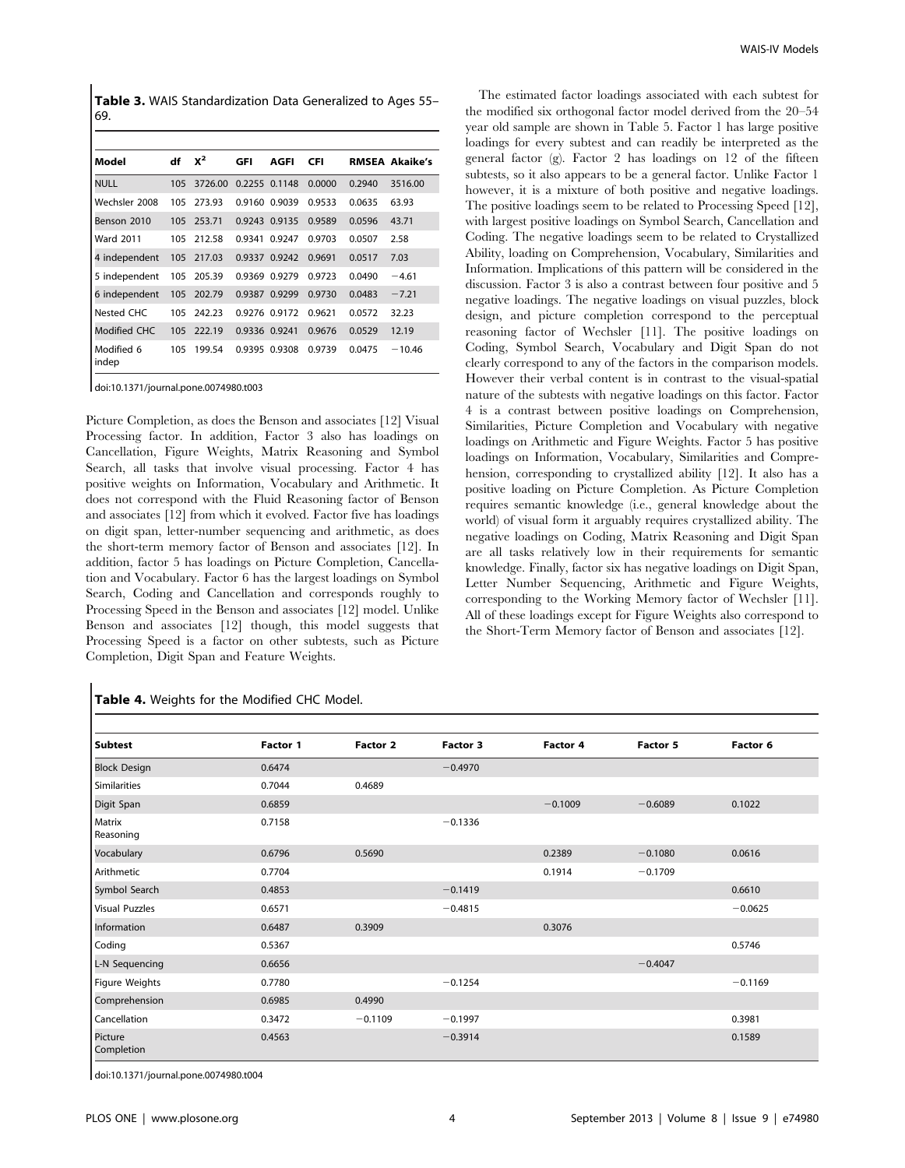Table 3. WAIS Standardization Data Generalized to Ages 55-69.

| Model               | df  | $x^2$   | GFI    | AGFI          | <b>CFI</b> |        | <b>RMSEA Akaike's</b> |
|---------------------|-----|---------|--------|---------------|------------|--------|-----------------------|
| <b>NULL</b>         | 105 | 3726.00 |        | 0.2255 0.1148 | 0.0000     | 0.2940 | 3516.00               |
| Wechsler 2008       | 105 | 273.93  | 0.9160 | 0.9039        | 0.9533     | 0.0635 | 63.93                 |
| Benson 2010         | 105 | 253.71  | 0.9243 | 0.9135        | 0.9589     | 0.0596 | 43.71                 |
| <b>Ward 2011</b>    | 105 | 212.58  | 0.9341 | 0.9247        | 0.9703     | 0.0507 | 2.58                  |
| 4 independent       | 105 | 217.03  | 0.9337 | 0.9242        | 0.9691     | 0.0517 | 7.03                  |
| 5 independent       | 105 | 205.39  | 0.9369 | 0.9279        | 0.9723     | 0.0490 | $-4.61$               |
| 6 independent       | 105 | 202.79  | 0.9387 | 0.9299        | 0.9730     | 0.0483 | $-7.21$               |
| Nested CHC          | 105 | 242.23  |        | 0.9276 0.9172 | 0.9621     | 0.0572 | 32.23                 |
| Modified CHC        | 105 | 222.19  |        | 0.9336 0.9241 | 0,9676     | 0.0529 | 12.19                 |
| Modified 6<br>indep | 105 | 199.54  | 0.9395 | 0.9308        | 0.9739     | 0.0475 | $-10.46$              |
|                     |     |         |        |               |            |        |                       |

doi:10.1371/journal.pone.0074980.t003

Picture Completion, as does the Benson and associates [12] Visual Processing factor. In addition, Factor 3 also has loadings on Cancellation, Figure Weights, Matrix Reasoning and Symbol Search, all tasks that involve visual processing. Factor 4 has positive weights on Information, Vocabulary and Arithmetic. It does not correspond with the Fluid Reasoning factor of Benson and associates [12] from which it evolved. Factor five has loadings on digit span, letter-number sequencing and arithmetic, as does the short-term memory factor of Benson and associates [12]. In addition, factor 5 has loadings on Picture Completion, Cancellation and Vocabulary. Factor 6 has the largest loadings on Symbol Search, Coding and Cancellation and corresponds roughly to Processing Speed in the Benson and associates [12] model. Unlike Benson and associates [12] though, this model suggests that Processing Speed is a factor on other subtests, such as Picture Completion, Digit Span and Feature Weights.

# Table 4. Weights for the Modified CHC Model.

The estimated factor loadings associated with each subtest for the modified six orthogonal factor model derived from the 20–54 year old sample are shown in Table 5. Factor 1 has large positive loadings for every subtest and can readily be interpreted as the general factor (g). Factor 2 has loadings on 12 of the fifteen subtests, so it also appears to be a general factor. Unlike Factor 1 however, it is a mixture of both positive and negative loadings. The positive loadings seem to be related to Processing Speed [12], with largest positive loadings on Symbol Search, Cancellation and Coding. The negative loadings seem to be related to Crystallized Ability, loading on Comprehension, Vocabulary, Similarities and Information. Implications of this pattern will be considered in the discussion. Factor 3 is also a contrast between four positive and 5 negative loadings. The negative loadings on visual puzzles, block design, and picture completion correspond to the perceptual reasoning factor of Wechsler [11]. The positive loadings on Coding, Symbol Search, Vocabulary and Digit Span do not clearly correspond to any of the factors in the comparison models. However their verbal content is in contrast to the visual-spatial nature of the subtests with negative loadings on this factor. Factor 4 is a contrast between positive loadings on Comprehension, Similarities, Picture Completion and Vocabulary with negative loadings on Arithmetic and Figure Weights. Factor 5 has positive loadings on Information, Vocabulary, Similarities and Comprehension, corresponding to crystallized ability [12]. It also has a positive loading on Picture Completion. As Picture Completion requires semantic knowledge (i.e., general knowledge about the world) of visual form it arguably requires crystallized ability. The negative loadings on Coding, Matrix Reasoning and Digit Span are all tasks relatively low in their requirements for semantic knowledge. Finally, factor six has negative loadings on Digit Span, Letter Number Sequencing, Arithmetic and Figure Weights, corresponding to the Working Memory factor of Wechsler [11]. All of these loadings except for Figure Weights also correspond to the Short-Term Memory factor of Benson and associates [12].

| <b>Subtest</b>        | Factor 1 | Factor 2  | Factor 3  | Factor 4  | Factor 5  | Factor 6  |
|-----------------------|----------|-----------|-----------|-----------|-----------|-----------|
| <b>Block Design</b>   | 0.6474   |           | $-0.4970$ |           |           |           |
| Similarities          | 0.7044   | 0.4689    |           |           |           |           |
| Digit Span            | 0.6859   |           |           | $-0.1009$ | $-0.6089$ | 0.1022    |
| Matrix<br>Reasoning   | 0.7158   |           | $-0.1336$ |           |           |           |
| Vocabulary            | 0.6796   | 0.5690    |           | 0.2389    | $-0.1080$ | 0.0616    |
| Arithmetic            | 0.7704   |           |           | 0.1914    | $-0.1709$ |           |
| Symbol Search         | 0.4853   |           | $-0.1419$ |           |           | 0.6610    |
| <b>Visual Puzzles</b> | 0.6571   |           | $-0.4815$ |           |           | $-0.0625$ |
| Information           | 0.6487   | 0.3909    |           | 0.3076    |           |           |
| Coding                | 0.5367   |           |           |           |           | 0.5746    |
| L-N Sequencing        | 0.6656   |           |           |           | $-0.4047$ |           |
| Figure Weights        | 0.7780   |           | $-0.1254$ |           |           | $-0.1169$ |
| Comprehension         | 0.6985   | 0.4990    |           |           |           |           |
| Cancellation          | 0.3472   | $-0.1109$ | $-0.1997$ |           |           | 0.3981    |
| Picture<br>Completion | 0.4563   |           | $-0.3914$ |           |           | 0.1589    |

doi:10.1371/journal.pone.0074980.t004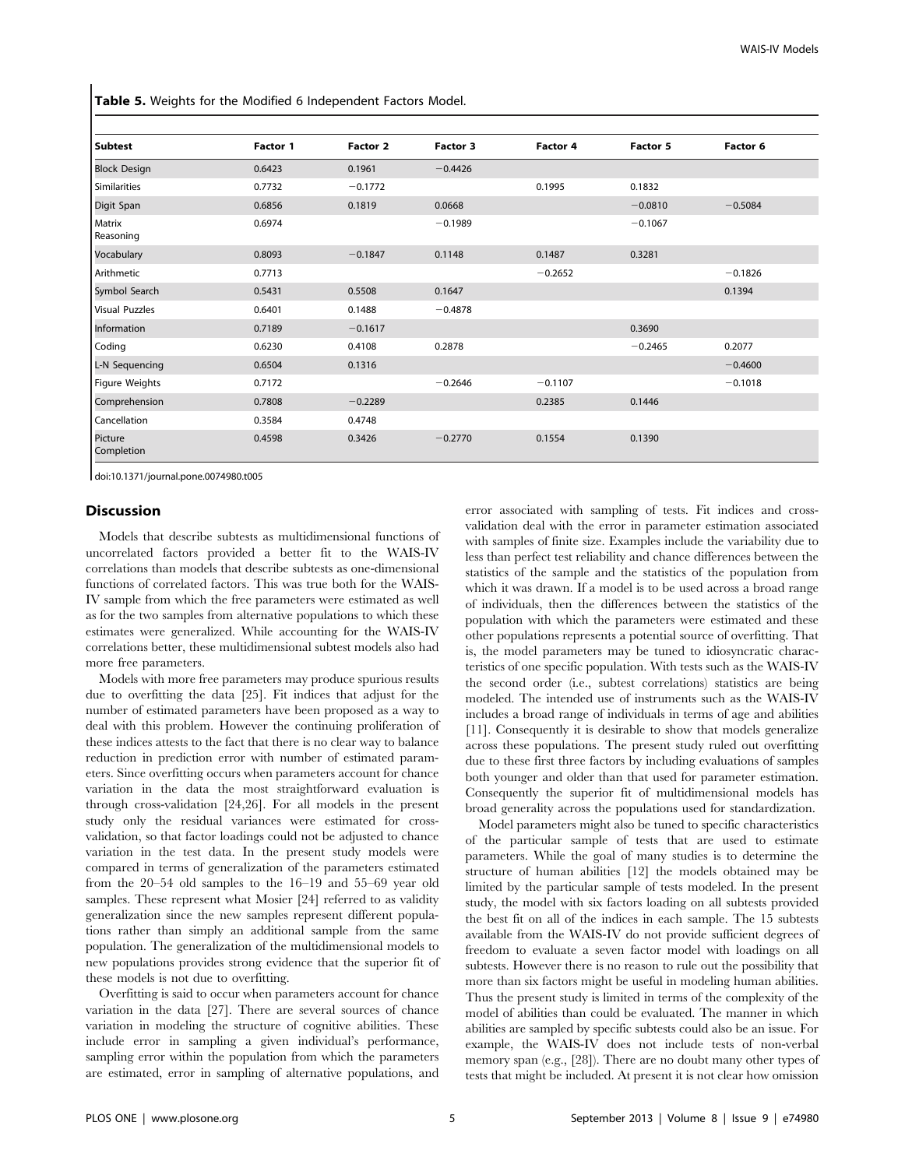Table 5. Weights for the Modified 6 Independent Factors Model.

| <b>Subtest</b>        | Factor 1 | <b>Factor 2</b> | Factor 3  | Factor 4  | Factor 5  | Factor 6  |
|-----------------------|----------|-----------------|-----------|-----------|-----------|-----------|
| <b>Block Design</b>   | 0.6423   | 0.1961          | $-0.4426$ |           |           |           |
| Similarities          | 0.7732   | $-0.1772$       |           | 0.1995    | 0.1832    |           |
| Digit Span            | 0.6856   | 0.1819          | 0.0668    |           | $-0.0810$ | $-0.5084$ |
| Matrix<br>Reasoning   | 0.6974   |                 | $-0.1989$ |           | $-0.1067$ |           |
| Vocabulary            | 0.8093   | $-0.1847$       | 0.1148    | 0.1487    | 0.3281    |           |
| Arithmetic            | 0.7713   |                 |           | $-0.2652$ |           | $-0.1826$ |
| Symbol Search         | 0.5431   | 0.5508          | 0.1647    |           |           | 0.1394    |
| <b>Visual Puzzles</b> | 0.6401   | 0.1488          | $-0.4878$ |           |           |           |
| Information           | 0.7189   | $-0.1617$       |           |           | 0.3690    |           |
| Coding                | 0.6230   | 0.4108          | 0.2878    |           | $-0.2465$ | 0.2077    |
| L-N Sequencing        | 0.6504   | 0.1316          |           |           |           | $-0.4600$ |
| Figure Weights        | 0.7172   |                 | $-0.2646$ | $-0.1107$ |           | $-0.1018$ |
| Comprehension         | 0.7808   | $-0.2289$       |           | 0.2385    | 0.1446    |           |
| Cancellation          | 0.3584   | 0.4748          |           |           |           |           |
| Picture<br>Completion | 0.4598   | 0.3426          | $-0.2770$ | 0.1554    | 0.1390    |           |

doi:10.1371/journal.pone.0074980.t005

### Discussion

Models that describe subtests as multidimensional functions of uncorrelated factors provided a better fit to the WAIS-IV correlations than models that describe subtests as one-dimensional functions of correlated factors. This was true both for the WAIS-IV sample from which the free parameters were estimated as well as for the two samples from alternative populations to which these estimates were generalized. While accounting for the WAIS-IV correlations better, these multidimensional subtest models also had more free parameters.

Models with more free parameters may produce spurious results due to overfitting the data [25]. Fit indices that adjust for the number of estimated parameters have been proposed as a way to deal with this problem. However the continuing proliferation of these indices attests to the fact that there is no clear way to balance reduction in prediction error with number of estimated parameters. Since overfitting occurs when parameters account for chance variation in the data the most straightforward evaluation is through cross-validation [24,26]. For all models in the present study only the residual variances were estimated for crossvalidation, so that factor loadings could not be adjusted to chance variation in the test data. In the present study models were compared in terms of generalization of the parameters estimated from the 20–54 old samples to the 16–19 and 55–69 year old samples. These represent what Mosier [24] referred to as validity generalization since the new samples represent different populations rather than simply an additional sample from the same population. The generalization of the multidimensional models to new populations provides strong evidence that the superior fit of these models is not due to overfitting.

Overfitting is said to occur when parameters account for chance variation in the data [27]. There are several sources of chance variation in modeling the structure of cognitive abilities. These include error in sampling a given individual's performance, sampling error within the population from which the parameters are estimated, error in sampling of alternative populations, and error associated with sampling of tests. Fit indices and crossvalidation deal with the error in parameter estimation associated with samples of finite size. Examples include the variability due to less than perfect test reliability and chance differences between the statistics of the sample and the statistics of the population from which it was drawn. If a model is to be used across a broad range of individuals, then the differences between the statistics of the population with which the parameters were estimated and these other populations represents a potential source of overfitting. That is, the model parameters may be tuned to idiosyncratic characteristics of one specific population. With tests such as the WAIS-IV the second order (i.e., subtest correlations) statistics are being modeled. The intended use of instruments such as the WAIS-IV includes a broad range of individuals in terms of age and abilities [11]. Consequently it is desirable to show that models generalize across these populations. The present study ruled out overfitting due to these first three factors by including evaluations of samples both younger and older than that used for parameter estimation. Consequently the superior fit of multidimensional models has broad generality across the populations used for standardization.

Model parameters might also be tuned to specific characteristics of the particular sample of tests that are used to estimate parameters. While the goal of many studies is to determine the structure of human abilities [12] the models obtained may be limited by the particular sample of tests modeled. In the present study, the model with six factors loading on all subtests provided the best fit on all of the indices in each sample. The 15 subtests available from the WAIS-IV do not provide sufficient degrees of freedom to evaluate a seven factor model with loadings on all subtests. However there is no reason to rule out the possibility that more than six factors might be useful in modeling human abilities. Thus the present study is limited in terms of the complexity of the model of abilities than could be evaluated. The manner in which abilities are sampled by specific subtests could also be an issue. For example, the WAIS-IV does not include tests of non-verbal memory span (e.g., [28]). There are no doubt many other types of tests that might be included. At present it is not clear how omission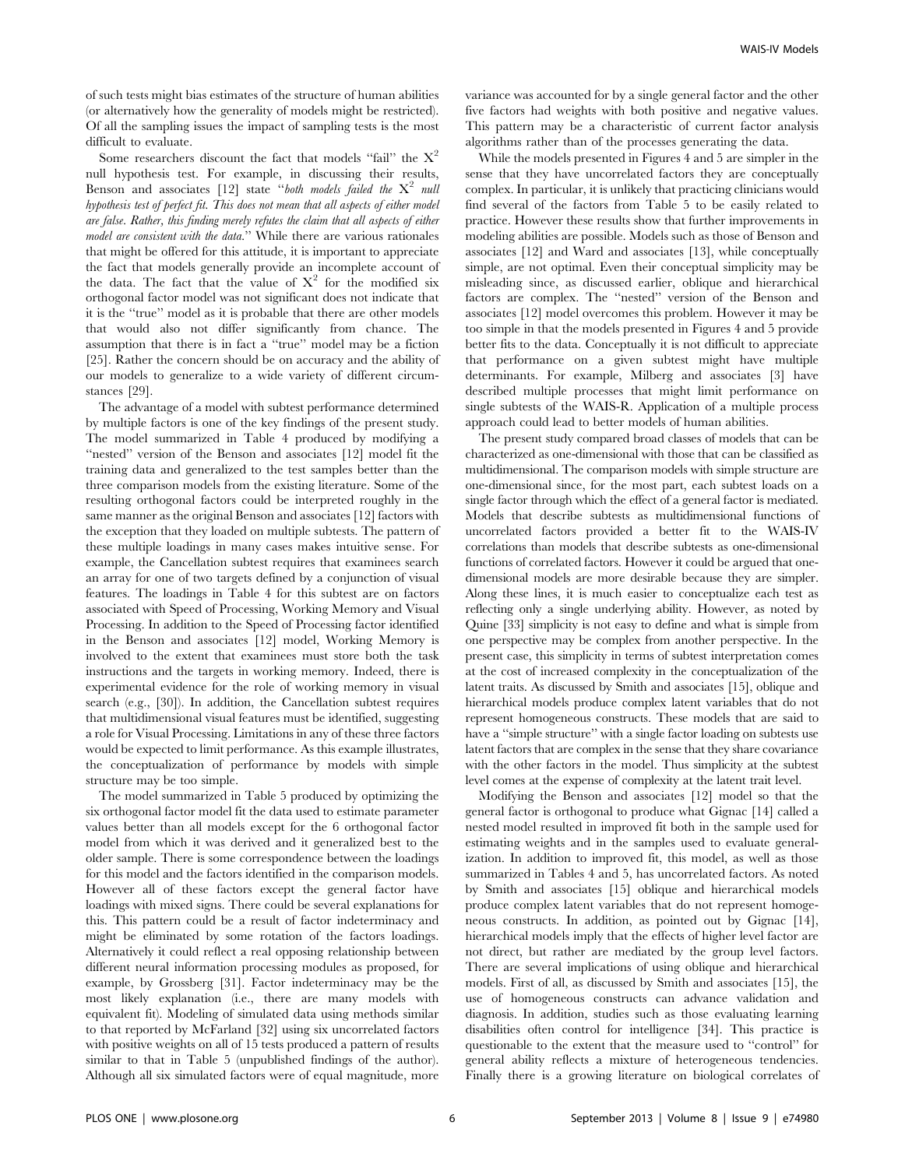of such tests might bias estimates of the structure of human abilities (or alternatively how the generality of models might be restricted). Of all the sampling issues the impact of sampling tests is the most difficult to evaluate.

Some researchers discount the fact that models "fail" the  $X^2$ null hypothesis test. For example, in discussing their results, Benson and associates  $[12]$  state "both models failed the  $X^2$  null hypothesis test of perfect fit. This does not mean that all aspects of either model are false. Rather, this finding merely refutes the claim that all aspects of either model are consistent with the data.'' While there are various rationales that might be offered for this attitude, it is important to appreciate the fact that models generally provide an incomplete account of the data. The fact that the value of  $X^2$  for the modified six orthogonal factor model was not significant does not indicate that it is the ''true'' model as it is probable that there are other models that would also not differ significantly from chance. The assumption that there is in fact a ''true'' model may be a fiction [25]. Rather the concern should be on accuracy and the ability of our models to generalize to a wide variety of different circumstances [29].

The advantage of a model with subtest performance determined by multiple factors is one of the key findings of the present study. The model summarized in Table 4 produced by modifying a ''nested'' version of the Benson and associates [12] model fit the training data and generalized to the test samples better than the three comparison models from the existing literature. Some of the resulting orthogonal factors could be interpreted roughly in the same manner as the original Benson and associates [12] factors with the exception that they loaded on multiple subtests. The pattern of these multiple loadings in many cases makes intuitive sense. For example, the Cancellation subtest requires that examinees search an array for one of two targets defined by a conjunction of visual features. The loadings in Table 4 for this subtest are on factors associated with Speed of Processing, Working Memory and Visual Processing. In addition to the Speed of Processing factor identified in the Benson and associates [12] model, Working Memory is involved to the extent that examinees must store both the task instructions and the targets in working memory. Indeed, there is experimental evidence for the role of working memory in visual search (e.g., [30]). In addition, the Cancellation subtest requires that multidimensional visual features must be identified, suggesting a role for Visual Processing. Limitations in any of these three factors would be expected to limit performance. As this example illustrates, the conceptualization of performance by models with simple structure may be too simple.

The model summarized in Table 5 produced by optimizing the six orthogonal factor model fit the data used to estimate parameter values better than all models except for the 6 orthogonal factor model from which it was derived and it generalized best to the older sample. There is some correspondence between the loadings for this model and the factors identified in the comparison models. However all of these factors except the general factor have loadings with mixed signs. There could be several explanations for this. This pattern could be a result of factor indeterminacy and might be eliminated by some rotation of the factors loadings. Alternatively it could reflect a real opposing relationship between different neural information processing modules as proposed, for example, by Grossberg [31]. Factor indeterminacy may be the most likely explanation (i.e., there are many models with equivalent fit). Modeling of simulated data using methods similar to that reported by McFarland [32] using six uncorrelated factors with positive weights on all of 15 tests produced a pattern of results similar to that in Table 5 (unpublished findings of the author). Although all six simulated factors were of equal magnitude, more variance was accounted for by a single general factor and the other five factors had weights with both positive and negative values. This pattern may be a characteristic of current factor analysis algorithms rather than of the processes generating the data.

While the models presented in Figures 4 and 5 are simpler in the sense that they have uncorrelated factors they are conceptually complex. In particular, it is unlikely that practicing clinicians would find several of the factors from Table 5 to be easily related to practice. However these results show that further improvements in modeling abilities are possible. Models such as those of Benson and associates [12] and Ward and associates [13], while conceptually simple, are not optimal. Even their conceptual simplicity may be misleading since, as discussed earlier, oblique and hierarchical factors are complex. The ''nested'' version of the Benson and associates [12] model overcomes this problem. However it may be too simple in that the models presented in Figures 4 and 5 provide better fits to the data. Conceptually it is not difficult to appreciate that performance on a given subtest might have multiple determinants. For example, Milberg and associates [3] have described multiple processes that might limit performance on single subtests of the WAIS-R. Application of a multiple process approach could lead to better models of human abilities.

The present study compared broad classes of models that can be characterized as one-dimensional with those that can be classified as multidimensional. The comparison models with simple structure are one-dimensional since, for the most part, each subtest loads on a single factor through which the effect of a general factor is mediated. Models that describe subtests as multidimensional functions of uncorrelated factors provided a better fit to the WAIS-IV correlations than models that describe subtests as one-dimensional functions of correlated factors. However it could be argued that onedimensional models are more desirable because they are simpler. Along these lines, it is much easier to conceptualize each test as reflecting only a single underlying ability. However, as noted by Quine [33] simplicity is not easy to define and what is simple from one perspective may be complex from another perspective. In the present case, this simplicity in terms of subtest interpretation comes at the cost of increased complexity in the conceptualization of the latent traits. As discussed by Smith and associates [15], oblique and hierarchical models produce complex latent variables that do not represent homogeneous constructs. These models that are said to have a ''simple structure'' with a single factor loading on subtests use latent factors that are complex in the sense that they share covariance with the other factors in the model. Thus simplicity at the subtest level comes at the expense of complexity at the latent trait level.

Modifying the Benson and associates [12] model so that the general factor is orthogonal to produce what Gignac [14] called a nested model resulted in improved fit both in the sample used for estimating weights and in the samples used to evaluate generalization. In addition to improved fit, this model, as well as those summarized in Tables 4 and 5, has uncorrelated factors. As noted by Smith and associates [15] oblique and hierarchical models produce complex latent variables that do not represent homogeneous constructs. In addition, as pointed out by Gignac [14], hierarchical models imply that the effects of higher level factor are not direct, but rather are mediated by the group level factors. There are several implications of using oblique and hierarchical models. First of all, as discussed by Smith and associates [15], the use of homogeneous constructs can advance validation and diagnosis. In addition, studies such as those evaluating learning disabilities often control for intelligence [34]. This practice is questionable to the extent that the measure used to ''control'' for general ability reflects a mixture of heterogeneous tendencies. Finally there is a growing literature on biological correlates of